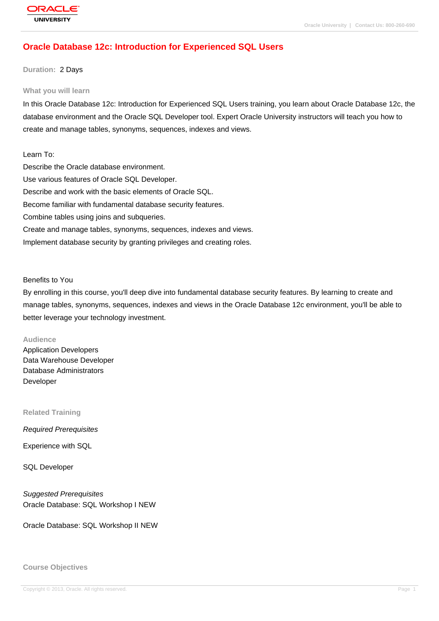## **[Oracle Databas](http://education.oracle.com/pls/web_prod-plq-dad/db_pages.getpage?page_id=3)e 12c: Introduction for Experienced SQL Users**

#### **Duration:** 2 Days

#### **What you will learn**

In this Oracle Database 12c: Introduction for Experienced SQL Users training, you learn about Oracle Database 12c, the database environment and the Oracle SQL Developer tool. Expert Oracle University instructors will teach you how to create and manage tables, synonyms, sequences, indexes and views.

Learn To: Describe the Oracle database environment. Use various features of Oracle SQL Developer. Describe and work with the basic elements of Oracle SQL. Become familiar with fundamental database security features. Combine tables using joins and subqueries. Create and manage tables, synonyms, sequences, indexes and views. Implement database security by granting privileges and creating roles.

Benefits to You

By enrolling in this course, you'll deep dive into fundamental database security features. By learning to create and manage tables, synonyms, sequences, indexes and views in the Oracle Database 12c environment, you'll be able to better leverage your technology investment.

#### **Audience**

Application Developers Data Warehouse Developer Database Administrators Developer

**Related Training**

Required Prerequisites

Experience with SQL

SQL Developer

Suggested Prerequisites Oracle Database: SQL Workshop I NEW

Oracle Database: SQL Workshop II NEW

**Course Objectives**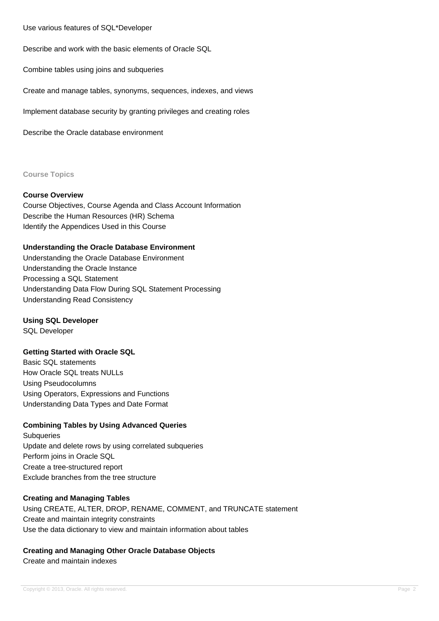Use various features of SQL\*Developer

Describe and work with the basic elements of Oracle SQL

Combine tables using joins and subqueries

Create and manage tables, synonyms, sequences, indexes, and views

Implement database security by granting privileges and creating roles

Describe the Oracle database environment

**Course Topics**

#### **Course Overview**

Course Objectives, Course Agenda and Class Account Information Describe the Human Resources (HR) Schema Identify the Appendices Used in this Course

### **Understanding the Oracle Database Environment**

Understanding the Oracle Database Environment Understanding the Oracle Instance Processing a SQL Statement Understanding Data Flow During SQL Statement Processing Understanding Read Consistency

### **Using SQL Developer**

SQL Developer

### **Getting Started with Oracle SQL**

Basic SQL statements How Oracle SQL treats NULLs Using Pseudocolumns Using Operators, Expressions and Functions Understanding Data Types and Date Format

### **Combining Tables by Using Advanced Queries**

**Subqueries** Update and delete rows by using correlated subqueries Perform joins in Oracle SQL Create a tree-structured report Exclude branches from the tree structure

### **Creating and Managing Tables**

Using CREATE, ALTER, DROP, RENAME, COMMENT, and TRUNCATE statement Create and maintain integrity constraints Use the data dictionary to view and maintain information about tables

### **Creating and Managing Other Oracle Database Objects**

Create and maintain indexes